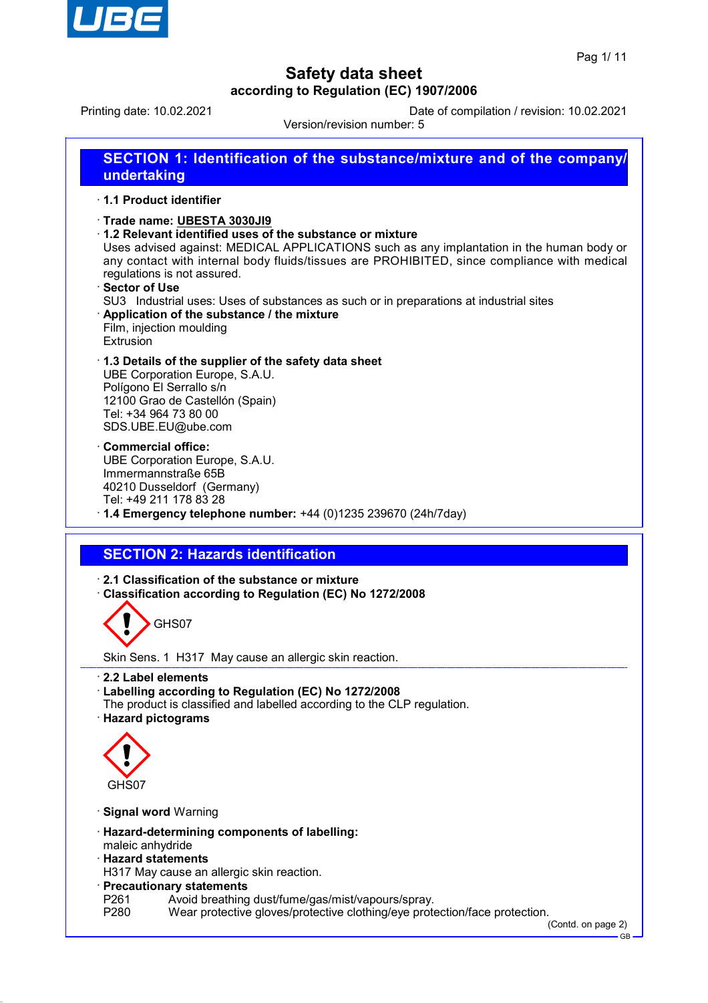

Printing date: 10.02.2021 Date of compilation / revision: 10.02.2021

Version/revision number: 5



- P261 Avoid breathing dust/fume/gas/mist/vapours/spray.<br>P280 Wear protective gloves/protective clothing/eve prote
- Wear protective gloves/protective clothing/eye protection/face protection.

(Contd. on page 2) GB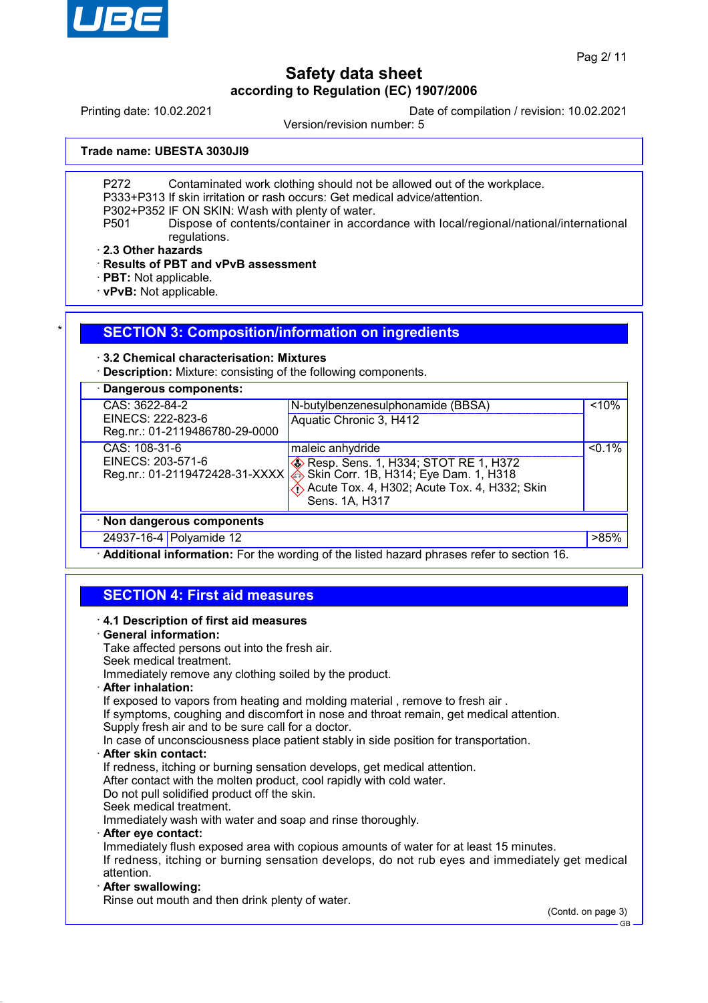

Printing date: 10.02.2021 Date of compilation / revision: 10.02.2021

Version/revision number: 5

**Trade name: UBESTA 3030JI9**

P272 Contaminated work clothing should not be allowed out of the workplace.

P333+P313 If skin irritation or rash occurs: Get medical advice/attention.

P302+P352 IF ON SKIN: Wash with plenty of water.

P501 Dispose of contents/container in accordance with local/regional/national/international regulations.

· **2.3 Other hazards**

· **Results of PBT and vPvB assessment**

· **PBT:** Not applicable.

· **vPvB:** Not applicable.

## **SECTION 3: Composition/information on ingredients**

### · **3.2 Chemical characterisation: Mixtures**

· **Description:** Mixture: consisting of the following components.

| Dangerous components:                               |                                                        |           |
|-----------------------------------------------------|--------------------------------------------------------|-----------|
| CAS: 3622-84-2                                      | N-butylbenzenesulphonamide (BBSA)                      | < 10%     |
| EINECS: 222-823-6<br>Reg.nr.: 01-2119486780-29-0000 | Aquatic Chronic 3, H412                                |           |
| CAS: 108-31-6                                       | maleic anhydride                                       | $< 0.1\%$ |
| EINECS: 203-571-6                                   | <b>Example 20 Resp. Sens. 1, H334; STOT RE 1, H372</b> |           |
| Reg.nr.: 01-2119472428-31-XXXX                      | Skin Corr. 1B, H314; Eye Dam. 1, H318                  |           |
|                                                     | Acute Tox. 4, H302; Acute Tox. 4, H332; Skin           |           |
|                                                     | Sens. 1A, H317                                         |           |
| · Non dangerous components                          |                                                        |           |
| 24937-16-4 Polyamide 12                             |                                                        | >85%      |

· **Additional information:** For the wording of the listed hazard phrases refer to section 16.

## **SECTION 4: First aid measures**

| 4.1 Description of first aid measures                                                          |
|------------------------------------------------------------------------------------------------|
| · General information:                                                                         |
| Take affected persons out into the fresh air.                                                  |
| Seek medical treatment.                                                                        |
| Immediately remove any clothing soiled by the product.                                         |
| · After inhalation:                                                                            |
| If exposed to vapors from heating and molding material, remove to fresh air.                   |
| If symptoms, coughing and discomfort in nose and throat remain, get medical attention.         |
| Supply fresh air and to be sure call for a doctor.                                             |
| In case of unconsciousness place patient stably in side position for transportation.           |
| · After skin contact:                                                                          |
| If redness, itching or burning sensation develops, get medical attention.                      |
| After contact with the molten product, cool rapidly with cold water.                           |
| Do not pull solidified product off the skin.                                                   |
| Seek medical treatment.                                                                        |
| Immediately wash with water and soap and rinse thoroughly.                                     |
| · After eye contact:                                                                           |
| Immediately flush exposed area with copious amounts of water for at least 15 minutes.          |
| If redness, itching or burning sensation develops, do not rub eyes and immediately get medical |
| attention.                                                                                     |
| · After swallowing:                                                                            |
| Rinse out mouth and then drink plenty of water.                                                |
| $\sim$ $\sim$                                                                                  |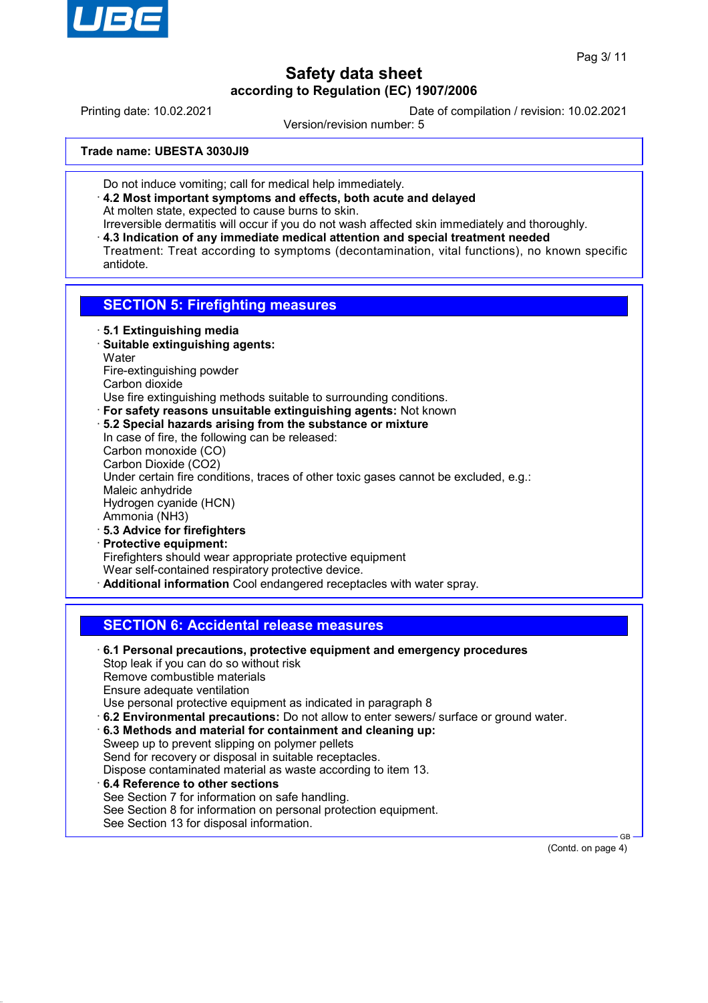

Printing date: 10.02.2021 Date of compilation / revision: 10.02.2021

Version/revision number: 5

**Trade name: UBESTA 3030JI9**

- Do not induce vomiting; call for medical help immediately.
- · **4.2 Most important symptoms and effects, both acute and delayed** At molten state, expected to cause burns to skin.
- Irreversible dermatitis will occur if you do not wash affected skin immediately and thoroughly.
- · **4.3 Indication of any immediate medical attention and special treatment needed** Treatment: Treat according to symptoms (decontamination, vital functions), no known specific antidote.

## **SECTION 5: Firefighting measures**

- · **5.1 Extinguishing media**
- · **Suitable extinguishing agents: Water** Fire-extinguishing powder Carbon dioxide
- Use fire extinguishing methods suitable to surrounding conditions.
- · **For safety reasons unsuitable extinguishing agents:** Not known
- · **5.2 Special hazards arising from the substance or mixture** In case of fire, the following can be released: Carbon monoxide (CO) Carbon Dioxide (CO2) Under certain fire conditions, traces of other toxic gases cannot be excluded, e.g.: Maleic anhydride Hydrogen cyanide (HCN) Ammonia (NH3) · **5.3 Advice for firefighters**
- · **Protective equipment:** Firefighters should wear appropriate protective equipment Wear self-contained respiratory protective device. · **Additional information** Cool endangered receptacles with water spray.

## **SECTION 6: Accidental release measures**

· **6.1 Personal precautions, protective equipment and emergency procedures** Stop leak if you can do so without risk Remove combustible materials Ensure adequate ventilation Use personal protective equipment as indicated in paragraph 8 · **6.2 Environmental precautions:** Do not allow to enter sewers/ surface or ground water. · **6.3 Methods and material for containment and cleaning up:** Sweep up to prevent slipping on polymer pellets Send for recovery or disposal in suitable receptacles. Dispose contaminated material as waste according to item 13. · **6.4 Reference to other sections** See Section 7 for information on safe handling. See Section 8 for information on personal protection equipment. See Section 13 for disposal information.

(Contd. on page 4)

GB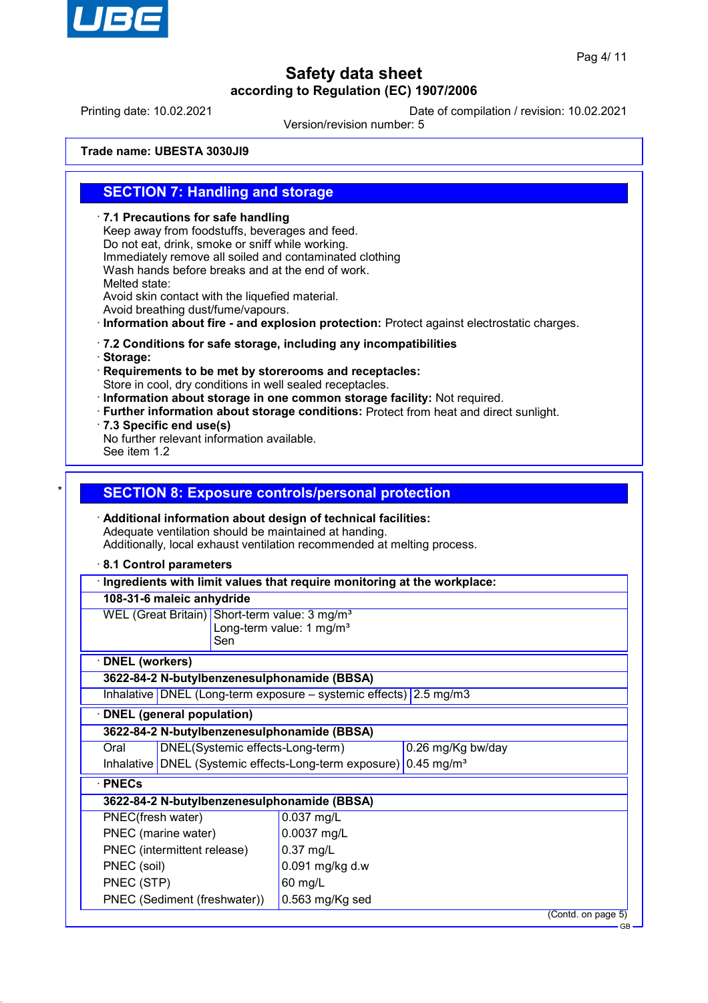

Printing date: 10.02.2021 Date of compilation / revision: 10.02.2021

Version/revision number: 5

**Trade name: UBESTA 3030JI9**

## **SECTION 7: Handling and storage**

· **7.1 Precautions for safe handling** Keep away from foodstuffs, beverages and feed. Do not eat, drink, smoke or sniff while working. Immediately remove all soiled and contaminated clothing Wash hands before breaks and at the end of work. Melted state: Avoid skin contact with the liquefied material. Avoid breathing dust/fume/vapours. · **Information about fire - and explosion protection:** Protect against electrostatic charges. · **7.2 Conditions for safe storage, including any incompatibilities** · **Storage:** · **Requirements to be met by storerooms and receptacles:** Store in cool, dry conditions in well sealed receptacles. · **Information about storage in one common storage facility:** Not required. · **Further information about storage conditions:** Protect from heat and direct sunlight. · **7.3 Specific end use(s)** No further relevant information available. See item 1.2 **SECTION 8: Exposure controls/personal protection** · **Additional information about design of technical facilities:** Adequate ventilation should be maintained at handing. Additionally, local exhaust ventilation recommended at melting process. · **8.1 Control parameters** · **Ingredients with limit values that require monitoring at the workplace: 108-31-6 maleic anhydride** WEL (Great Britain) Short-term value: 3 mg/m<sup>3</sup> Long-term value: 1 mg/m<sup>3</sup> Sen · **DNEL (workers) 3622-84-2 N-butylbenzenesulphonamide (BBSA)** Inhalative DNEL (Long-term exposure – systemic effects) 2.5 mg/m3 · **DNEL (general population) 3622-84-2 N-butylbenzenesulphonamide (BBSA)** Oral DNEL(Systemic effects-Long-term) 0.26 mg/Kg bw/day Inhalative DNEL (Systemic effects-Long-term exposure) 0.45 mg/m<sup>3</sup> · **PNECs 3622-84-2 N-butylbenzenesulphonamide (BBSA)** PNEC(fresh water) 0.037 mg/L PNEC (marine water) 0.0037 mg/L PNEC (intermittent release) | 0.37 mg/L PNEC (soil)  $\vert$  0.091 mg/kg d.w PNEC (STP) 60 mg/L PNEC (Sediment (freshwater)) 0.563 mg/Kg sed

(Contd. on page 5)

GB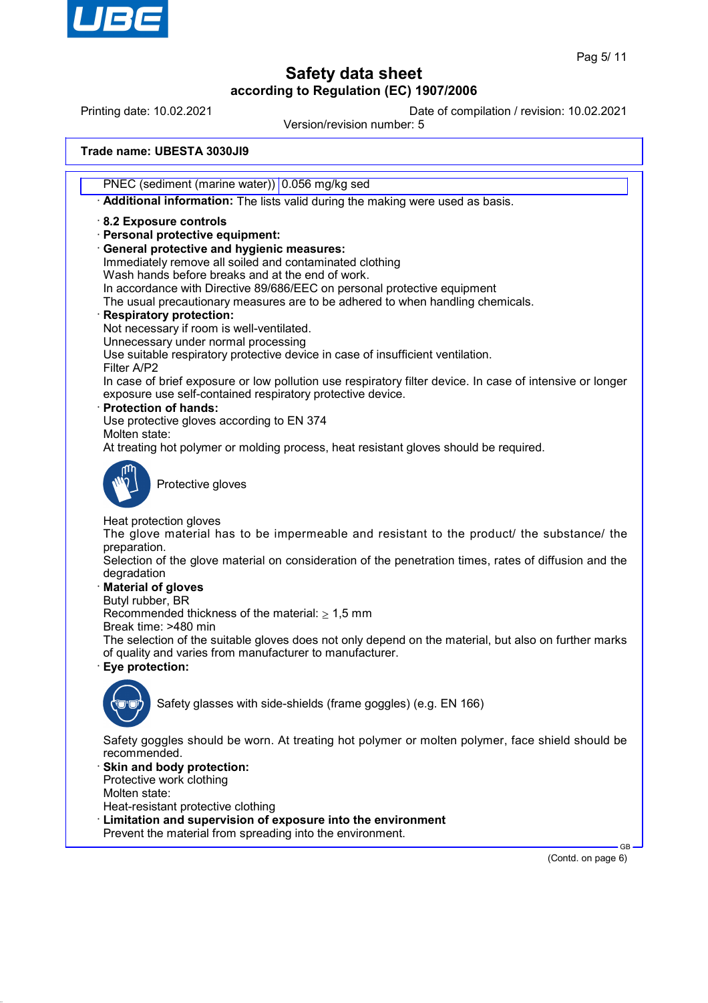

Printing date: 10.02.2021 Date of compilation / revision: 10.02.2021

Version/revision number: 5

**Trade name: UBESTA 3030JI9**

PNEC (sediment (marine water)) 0.056 mg/kg sed

· **Additional information:** The lists valid during the making were used as basis.

· **8.2 Exposure controls**

· **Personal protective equipment:**

· **General protective and hygienic measures:**

Immediately remove all soiled and contaminated clothing Wash hands before breaks and at the end of work.

In accordance with Directive 89/686/EEC on personal protective equipment

The usual precautionary measures are to be adhered to when handling chemicals.

### · **Respiratory protection:**

Not necessary if room is well-ventilated.

Unnecessary under normal processing

Use suitable respiratory protective device in case of insufficient ventilation.

Filter A/P2 In case of brief exposure or low pollution use respiratory filter device. In case of intensive or longer exposure use self-contained respiratory protective device.

· **Protection of hands:**

Use protective gloves according to EN 374

Molten state:

At treating hot polymer or molding process, heat resistant gloves should be required.



Protective gloves

Heat protection gloves

The glove material has to be impermeable and resistant to the product/ the substance/ the preparation.

Selection of the glove material on consideration of the penetration times, rates of diffusion and the degradation

### · **Material of gloves**

Butyl rubber, BR

Recommended thickness of the material:  $\geq 1.5$  mm

Break time: >480 min

The selection of the suitable gloves does not only depend on the material, but also on further marks of quality and varies from manufacturer to manufacturer.

· **Eye protection:**



Safety glasses with side-shields (frame goggles) (e.g. EN 166)

Safety goggles should be worn. At treating hot polymer or molten polymer, face shield should be recommended.

Skin and body protection: Protective work clothing

Molten state:

Heat-resistant protective clothing

- Limitation and supervision of exposure into the environment
- Prevent the material from spreading into the environment.

 GB (Contd. on page 6)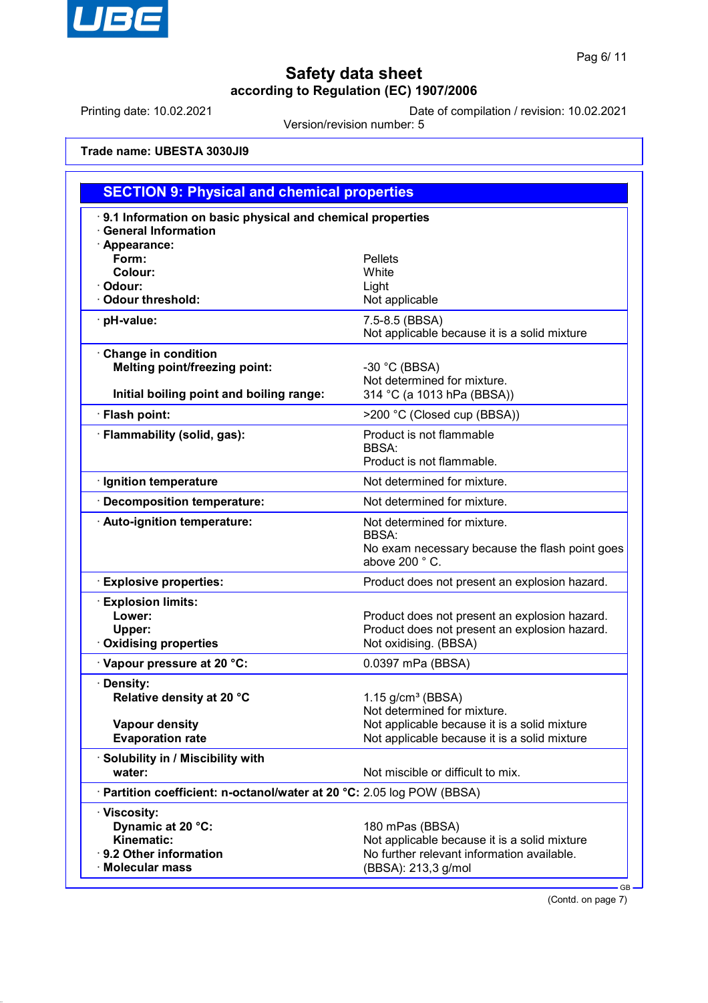

Printing date: 10.02.2021 Date of compilation / revision: 10.02.2021

Version/revision number: 5

**Trade name: UBESTA 3030JI9**

| <b>SECTION 9: Physical and chemical properties</b>                                                      |                                                                                                                                      |  |  |  |
|---------------------------------------------------------------------------------------------------------|--------------------------------------------------------------------------------------------------------------------------------------|--|--|--|
| 9.1 Information on basic physical and chemical properties<br><b>General Information</b>                 |                                                                                                                                      |  |  |  |
| · Appearance:<br>Form:<br>Colour:<br>Odour:<br><b>Odour threshold:</b>                                  | <b>Pellets</b><br>White<br>Light<br>Not applicable                                                                                   |  |  |  |
| · pH-value:                                                                                             | 7.5-8.5 (BBSA)<br>Not applicable because it is a solid mixture                                                                       |  |  |  |
| Change in condition<br><b>Melting point/freezing point:</b><br>Initial boiling point and boiling range: | $-30$ °C (BBSA)<br>Not determined for mixture.<br>314 °C (a 1013 hPa (BBSA))                                                         |  |  |  |
| · Flash point:                                                                                          | >200 °C (Closed cup (BBSA))                                                                                                          |  |  |  |
| · Flammability (solid, gas):                                                                            | Product is not flammable<br><b>BBSA:</b><br>Product is not flammable.                                                                |  |  |  |
| · Ignition temperature                                                                                  | Not determined for mixture.                                                                                                          |  |  |  |
| Decomposition temperature:                                                                              | Not determined for mixture.                                                                                                          |  |  |  |
| · Auto-ignition temperature:                                                                            | Not determined for mixture.<br><b>BBSA:</b><br>No exam necessary because the flash point goes<br>above 200 °C.                       |  |  |  |
| <b>Explosive properties:</b>                                                                            | Product does not present an explosion hazard.                                                                                        |  |  |  |
| <b>Explosion limits:</b><br>Lower:<br>Upper:<br><b>Oxidising properties</b>                             | Product does not present an explosion hazard.<br>Product does not present an explosion hazard.<br>Not oxidising. (BBSA)              |  |  |  |
| Vapour pressure at 20 °C:                                                                               | 0.0397 mPa (BBSA)                                                                                                                    |  |  |  |
| · Density:<br>Relative density at 20 °C                                                                 | $1.15$ g/cm <sup>3</sup> (BBSA)<br>Not determined for mixture.                                                                       |  |  |  |
| <b>Vapour density</b><br><b>Evaporation rate</b>                                                        | Not applicable because it is a solid mixture<br>Not applicable because it is a solid mixture                                         |  |  |  |
| · Solubility in / Miscibility with<br>water:                                                            | Not miscible or difficult to mix.                                                                                                    |  |  |  |
| Partition coefficient: n-octanol/water at 20 °C: 2.05 log POW (BBSA)                                    |                                                                                                                                      |  |  |  |
| · Viscosity:<br>Dynamic at 20 °C:<br>Kinematic:<br>· 9.2 Other information<br>$\cdot$ Molecular mass    | 180 mPas (BBSA)<br>Not applicable because it is a solid mixture<br>No further relevant information available.<br>(BBSA): 213,3 g/mol |  |  |  |

(Contd. on page 7)

GB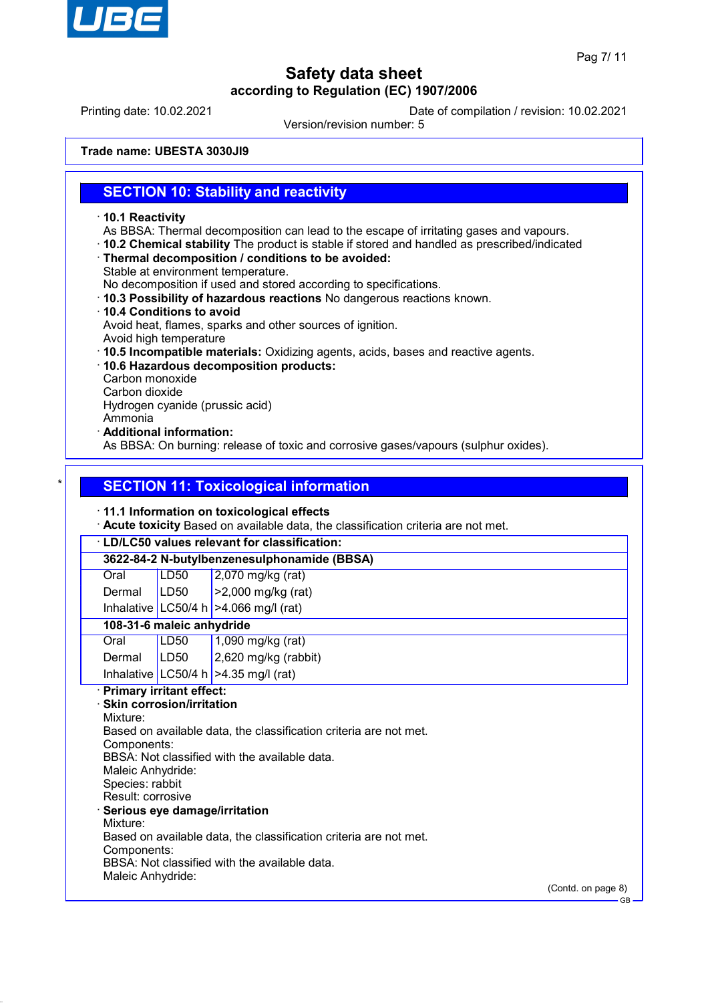

Printing date: 10.02.2021 Date of compilation / revision: 10.02.2021

Version/revision number: 5

**Trade name: UBESTA 3030JI9**

## **SECTION 10: Stability and reactivity**

- · **10.1 Reactivity**
- As BBSA: Thermal decomposition can lead to the escape of irritating gases and vapours.
- · **10.2 Chemical stability** The product is stable if stored and handled as prescribed/indicated
- · **Thermal decomposition / conditions to be avoided:**
- Stable at environment temperature.

No decomposition if used and stored according to specifications.

- · **10.3 Possibility of hazardous reactions** No dangerous reactions known.
- · **10.4 Conditions to avoid** Avoid heat, flames, sparks and other sources of ignition.
- Avoid high temperature
- · **10.5 Incompatible materials:** Oxidizing agents, acids, bases and reactive agents.
- · **10.6 Hazardous decomposition products:**
- Carbon monoxide
- Carbon dioxide

Hydrogen cyanide (prussic acid)

- Ammonia
- · **Additional information:**

As BBSA: On burning: release of toxic and corrosive gases/vapours (sulphur oxides).

## **SECTION 11: Toxicological information**

### · **11.1 Information on toxicological effects**

· **Acute toxicity** Based on available data, the classification criteria are not met.

# · **LD/LC50 values relevant for classification:**

**3622-84-2 N-butylbenzenesulphonamide (BBSA)**

| Oral | LD <sub>50</sub> | $\vert$ 2,070 mg/kg (rat)                        |
|------|------------------|--------------------------------------------------|
|      | .                | $\sim$ $\sim$ $\sim$ $\sim$ $\sim$ $\sim$ $\sim$ |

Dermal LD50 >2,000 mg/kg (rat) Inhalative  $|$  LC50/4 h  $|$  >4.066 mg/l (rat)

## **108-31-6 maleic anhydride**

| Oral            | LD50 | $1,090$ mg/kg (rat)                    |
|-----------------|------|----------------------------------------|
| Dermal $ LD50 $ |      | $2,620$ mg/kg (rabbit)                 |
|                 |      | Inhalative LC50/4 h $>4.35$ mg/l (rat) |

### · **Primary irritant effect:**

· **Skin corrosion/irritation** Mixture: Based on available data, the classification criteria are not met. Components: BBSA: Not classified with the available data. Maleic Anhydride: Species: rabbit Result: corrosive · **Serious eye damage/irritation** Mixture: Based on available data, the classification criteria are not met. Components: BBSA: Not classified with the available data. Maleic Anhydride:

(Contd. on page 8)

GB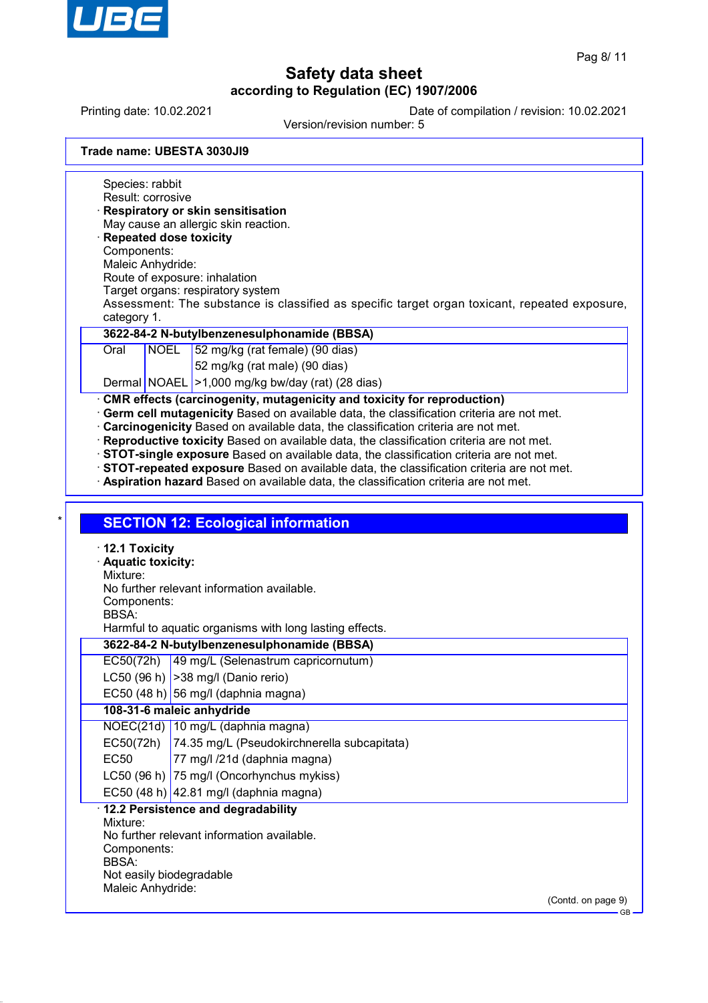

Printing date: 10.02.2021 Date of compilation / revision: 10.02.2021

Version/revision number: 5

**Trade name: UBESTA 3030JI9**

Species: rabbit Result: corrosive · **Respiratory or skin sensitisation** May cause an allergic skin reaction. · **Repeated dose toxicity** Components: Maleic Anhydride: Route of exposure: inhalation Target organs: respiratory system Assessment: The substance is classified as specific target organ toxicant, repeated exposure, category 1. **3622-84-2 N-butylbenzenesulphonamide (BBSA)** Oral NOEL 52 mg/kg (rat female) (90 dias) 52 mg/kg (rat male) (90 dias) Dermal NOAEL >1,000 mg/kg bw/day (rat) (28 dias) **CMR effects (carcinogenity, mutagenicity and toxicity for reproduction)** · **Germ cell mutagenicity** Based on available data, the classification criteria are not met. · **Carcinogenicity** Based on available data, the classification criteria are not met. · **Reproductive toxicity** Based on available data, the classification criteria are not met. · **STOT-single exposure** Based on available data, the classification criteria are not met. · **STOT-repeated exposure** Based on available data, the classification criteria are not met. · **Aspiration hazard** Based on available data, the classification criteria are not met. **SECTION 12: Ecological information** · **12.1 Toxicity** · **Aquatic toxicity:** Mixture: No further relevant information available. Components: BBSA: Harmful to aquatic organisms with long lasting effects. **3622-84-2 N-butylbenzenesulphonamide (BBSA)** EC50(72h) 49 mg/L (Selenastrum capricornutum) LC50 (96 h)  $|>$ 38 mg/l (Danio rerio) EC50 (48 h) 56 mg/l (daphnia magna) **108-31-6 maleic anhydride** NOEC(21d) 10 mg/L (daphnia magna) EC50(72h) 74.35 mg/L (Pseudokirchnerella subcapitata) EC50 77 mg/l /21d (daphnia magna) LC50 (96 h) 75 mg/l (Oncorhynchus mykiss) EC50 (48 h)  $|42.81 \text{ mg/}$  (daphnia magna) · **12.2 Persistence and degradability** Mixture: No further relevant information available. Components: BBSA: Not easily biodegradable Maleic Anhydride:

> (Contd. on page 9) GB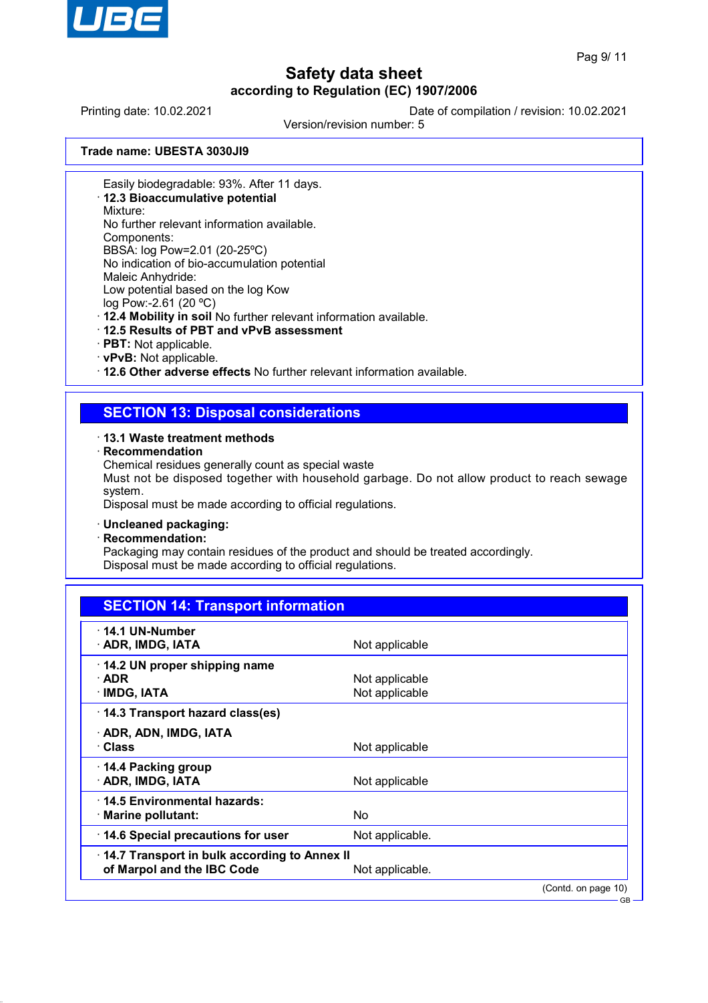

GB

# **Safety data sheet according to Regulation (EC) 1907/2006**

Printing date: 10.02.2021 Date of compilation / revision: 10.02.2021

Version/revision number: 5

**Trade name: UBESTA 3030JI9**

Easily biodegradable: 93%. After 11 days.

· **12.3 Bioaccumulative potential**

Mixture:

No further relevant information available.

Components:

BBSA: log Pow=2.01 (20-25ºC) No indication of bio-accumulation potential Maleic Anhydride: Low potential based on the log Kow

log Pow:-2.61 (20 ºC)

· **12.4 Mobility in soil** No further relevant information available.

- · **12.5 Results of PBT and vPvB assessment**
- · **PBT:** Not applicable.
- · **vPvB:** Not applicable.

· **12.6 Other adverse effects** No further relevant information available.

## **SECTION 13: Disposal considerations**

### · **13.1 Waste treatment methods**

· **Recommendation**

Chemical residues generally count as special waste

Must not be disposed together with household garbage. Do not allow product to reach sewage system.

Disposal must be made according to official regulations.

### · **Uncleaned packaging:**

· **Recommendation:**

Packaging may contain residues of the product and should be treated accordingly. Disposal must be made according to official regulations.

| <b>SECTION 14: Transport information</b>     |                 |                     |
|----------------------------------------------|-----------------|---------------------|
| $\cdot$ 14.1 UN-Number<br>· ADR, IMDG, IATA  |                 |                     |
|                                              | Not applicable  |                     |
| 14.2 UN proper shipping name                 |                 |                     |
| $\cdot$ ADR                                  | Not applicable  |                     |
| · IMDG, IATA                                 | Not applicable  |                     |
| 14.3 Transport hazard class(es)              |                 |                     |
| · ADR, ADN, IMDG, IATA                       |                 |                     |
| · Class                                      | Not applicable  |                     |
| ⋅ 14.4 Packing group                         |                 |                     |
| · ADR, IMDG, IATA                            | Not applicable  |                     |
| 14.5 Environmental hazards:                  |                 |                     |
| · Marine pollutant:                          | No.             |                     |
| 14.6 Special precautions for user            | Not applicable. |                     |
| 14.7 Transport in bulk according to Annex II |                 |                     |
| of Marpol and the IBC Code                   | Not applicable. |                     |
|                                              |                 | (Contd. on page 10) |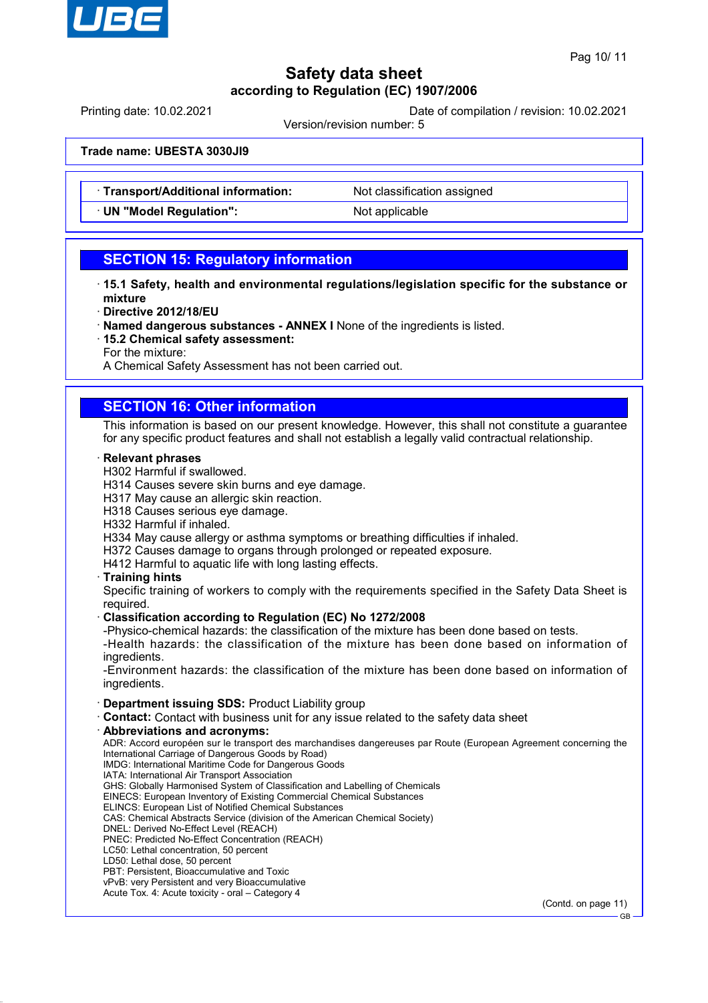

Printing date: 10.02.2021 Date of compilation / revision: 10.02.2021

Version/revision number: 5

**Trade name: UBESTA 3030JI9**

- · **Transport/Additional information:** Not classification assigned
- **UN "Model Regulation":** Not applicable

## **SECTION 15: Regulatory information**

- · **15.1 Safety, health and environmental regulations/legislation specific for the substance or mixture**
- · **Directive 2012/18/EU**
- · **Named dangerous substances ANNEX I** None of the ingredients is listed.
- · **15.2 Chemical safety assessment:**
- For the mixture:

A Chemical Safety Assessment has not been carried out.

## **SECTION 16: Other information**

This information is based on our present knowledge. However, this shall not constitute a guarantee for any specific product features and shall not establish a legally valid contractual relationship.

### · **Relevant phrases**

- H302 Harmful if swallowed.
- H314 Causes severe skin burns and eye damage.
- H317 May cause an allergic skin reaction.
- H318 Causes serious eye damage.
- H332 Harmful if inhaled.
- H334 May cause allergy or asthma symptoms or breathing difficulties if inhaled.
- H372 Causes damage to organs through prolonged or repeated exposure.
- H412 Harmful to aquatic life with long lasting effects.

### · **Training hints**

Specific training of workers to comply with the requirements specified in the Safety Data Sheet is required.

### · **Classification according to Regulation (EC) No 1272/2008**

-Physico-chemical hazards: the classification of the mixture has been done based on tests.

-Health hazards: the classification of the mixture has been done based on information of ingredients.

-Environment hazards: the classification of the mixture has been done based on information of ingredients.

- · **Department issuing SDS:** Product Liability group
- · **Contact:** Contact with business unit for any issue related to the safety data sheet
- · **Abbreviations and acronyms:**

ADR: Accord européen sur le transport des marchandises dangereuses par Route (European Agreement concerning the International Carriage of Dangerous Goods by Road) IMDG: International Maritime Code for Dangerous Goods

IATA: International Air Transport Association

GHS: Globally Harmonised System of Classification and Labelling of Chemicals

EINECS: European Inventory of Existing Commercial Chemical Substances

ELINCS: European List of Notified Chemical Substances

CAS: Chemical Abstracts Service (division of the American Chemical Society)

- DNEL: Derived No-Effect Level (REACH) PNEC: Predicted No-Effect Concentration (REACH)
- LC50: Lethal concentration, 50 percent
- LD50: Lethal dose, 50 percent
- PBT: Persistent, Bioaccumulative and Toxic
- vPvB: very Persistent and very Bioaccumulative
- Acute Tox. 4: Acute toxicity oral Category 4

(Contd. on page 11)